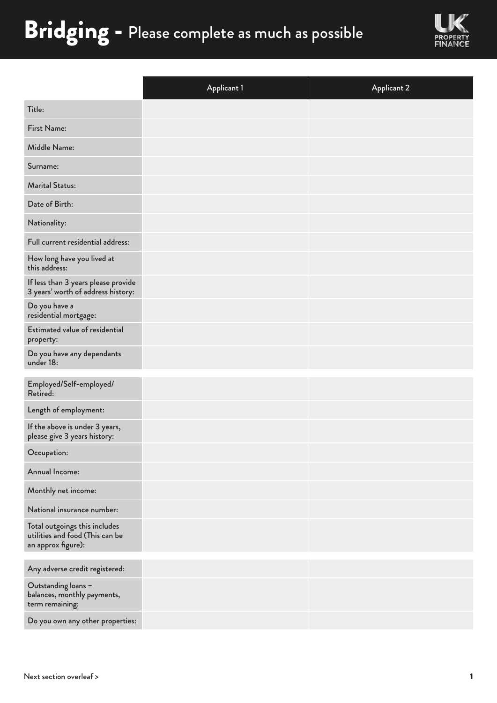## Bridging - Please complete as much as possible



|                                                                                        | <b>Applicant 1</b> | <b>Applicant 2</b> |
|----------------------------------------------------------------------------------------|--------------------|--------------------|
| Title:                                                                                 |                    |                    |
| First Name:                                                                            |                    |                    |
| Middle Name:                                                                           |                    |                    |
| Surname:                                                                               |                    |                    |
| <b>Marital Status:</b>                                                                 |                    |                    |
| Date of Birth:                                                                         |                    |                    |
| Nationality:                                                                           |                    |                    |
| Full current residential address:                                                      |                    |                    |
| How long have you lived at<br>this address:                                            |                    |                    |
| If less than 3 years please provide<br>3 years' worth of address history:              |                    |                    |
| Do you have a<br>residential mortgage:                                                 |                    |                    |
| <b>Estimated value of residential</b><br>property:                                     |                    |                    |
| Do you have any dependants<br>under 18:                                                |                    |                    |
| Employed/Self-employed/<br>Retired:                                                    |                    |                    |
| Length of employment:                                                                  |                    |                    |
| If the above is under 3 years,<br>please give 3 years history:                         |                    |                    |
| Occupation:                                                                            |                    |                    |
| Annual Income:                                                                         |                    |                    |
| Monthly net income:                                                                    |                    |                    |
| National insurance number:                                                             |                    |                    |
| Total outgoings this includes<br>utilities and food (This can be<br>an approx figure): |                    |                    |
| Any adverse credit registered:                                                         |                    |                    |
| Outstanding loans -<br>balances, monthly payments,<br>term remaining:                  |                    |                    |
| Do you own any other properties:                                                       |                    |                    |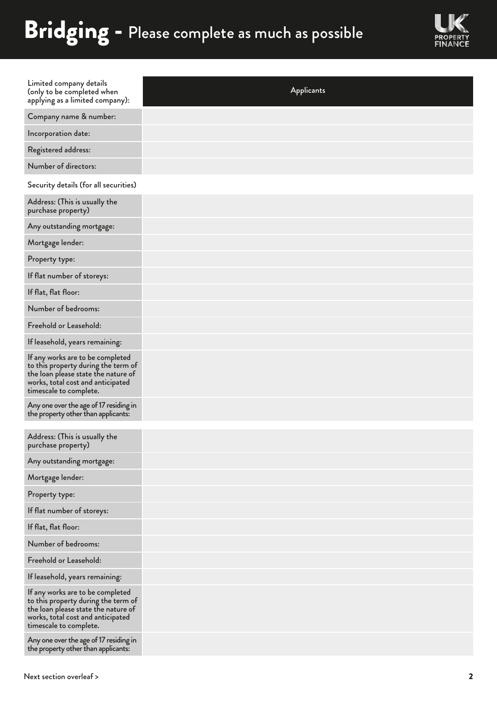## Bridging - Please complete as much as possible



| Limited company details<br>(only to be completed when<br>applying as a limited company):                                                                                      | Applicants |
|-------------------------------------------------------------------------------------------------------------------------------------------------------------------------------|------------|
| Company name & number:                                                                                                                                                        |            |
| Incorporation date:                                                                                                                                                           |            |
| Registered address:                                                                                                                                                           |            |
| Number of directors:                                                                                                                                                          |            |
| Security details (for all securities)                                                                                                                                         |            |
| Address: (This is usually the<br>purchase property)                                                                                                                           |            |
| Any outstanding mortgage:                                                                                                                                                     |            |
| Mortgage lender:                                                                                                                                                              |            |
| Property type:                                                                                                                                                                |            |
| If flat number of storeys:                                                                                                                                                    |            |
| If flat, flat floor:                                                                                                                                                          |            |
| Number of bedrooms:                                                                                                                                                           |            |
| Freehold or Leasehold:                                                                                                                                                        |            |
| If leasehold, years remaining:                                                                                                                                                |            |
| If any works are to be completed<br>to this property during the term of<br>the loan please state the nature of<br>works, total cost and anticipated<br>timescale to complete. |            |
| Any one over the age of 17 residing in<br>the property other than applicants:                                                                                                 |            |
|                                                                                                                                                                               |            |
| Address: (This is usually the<br>purchase property)                                                                                                                           |            |
| Any outstanding mortgage:                                                                                                                                                     |            |
| Mortgage lender:                                                                                                                                                              |            |
| Property type:                                                                                                                                                                |            |
| If flat number of storeys:                                                                                                                                                    |            |
| If flat, flat floor:                                                                                                                                                          |            |
| Number of bedrooms:                                                                                                                                                           |            |
| Freehold or Leasehold:                                                                                                                                                        |            |
| If leasehold, years remaining:                                                                                                                                                |            |
| If any works are to be completed<br>to this property during the term of<br>the loan please state the nature of<br>works, total cost and anticipated<br>timescale to complete. |            |
| Any one over the age of 17 residing in<br>the property other than applicants:                                                                                                 |            |